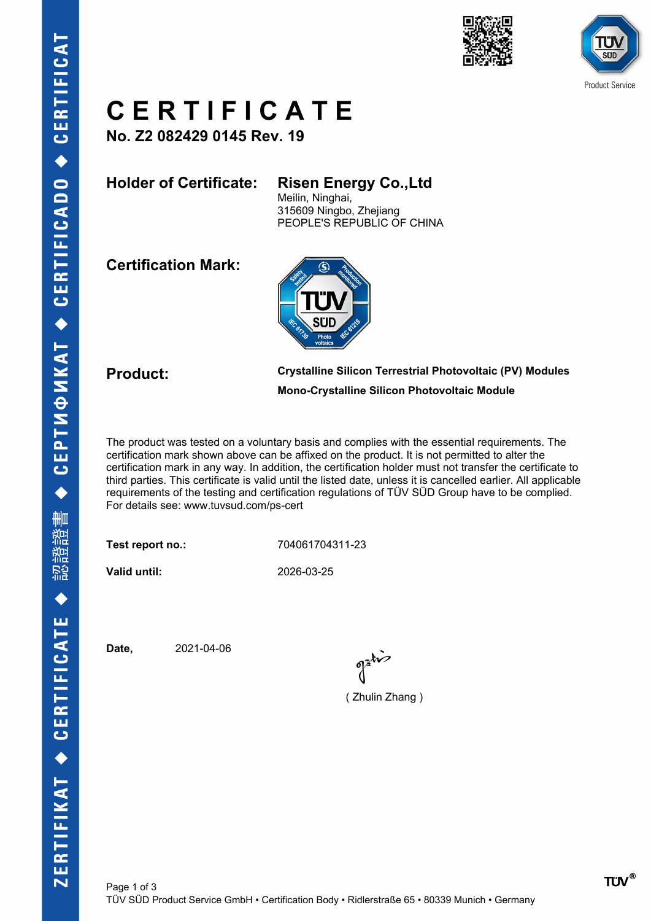



## **C E R T I F I C A T E**

**No. Z2 082429 0145 Rev. 19**

### **Holder of Certificate: Risen Energy Co.,Ltd**

Meilin, Ninghai, 315609 Ningbo, Zhejiang PEOPLE'S REPUBLIC OF CHINA

**Certification Mark:**



**Product: Crystalline Silicon Terrestrial Photovoltaic (PV) Modules Mono-Crystalline Silicon Photovoltaic Module**

The product was tested on a voluntary basis and complies with the essential requirements. The certification mark shown above can be affixed on the product. It is not permitted to alter the certification mark in any way. In addition, the certification holder must not transfer the certificate to third parties. This certificate is valid until the listed date, unless it is cancelled earlier. All applicable requirements of the testing and certification regulations of TÜV SÜD Group have to be complied. For details see: www.tuvsud.com/ps-cert

**Test report no.:** 704061704311-23

**Valid until:** 2026-03-25

**Date,** 2021-04-06

 $\int_0^{\frac{1}{2}}$ 

( Zhulin Zhang )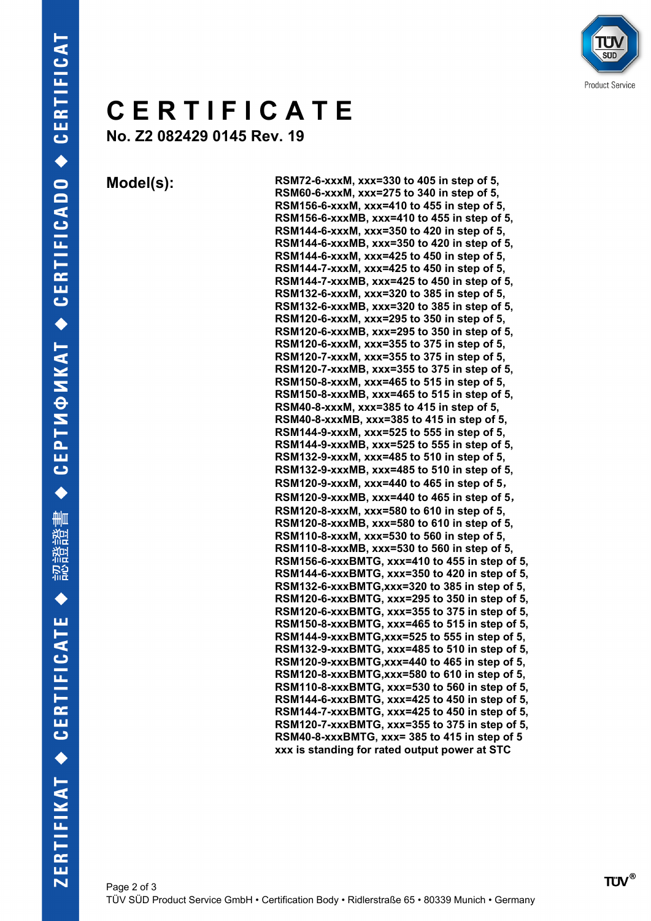

# **C E R T I F I C A T E**

**No. Z2 082429 0145 Rev. 19**

**Model(s): RSM72-6-xxxM, xxx=330 to 405 in step of 5, RSM60-6-xxxM, xxx=275 to 340 in step of 5, RSM156-6-xxxM, xxx=410 to 455 in step of 5, RSM156-6-xxxMB, xxx=410 to 455 in step of 5, RSM144-6-xxxM, xxx=350 to 420 in step of 5, RSM144-6-xxxMB, xxx=350 to 420 in step of 5, RSM144-6-xxxM, xxx=425 to 450 in step of 5, RSM144-7-xxxM, xxx=425 to 450 in step of 5, RSM144-7-xxxMB, xxx=425 to 450 in step of 5, RSM132-6-xxxM, xxx=320 to 385 in step of 5, RSM132-6-xxxMB, xxx=320 to 385 in step of 5, RSM120-6-xxxM, xxx=295 to 350 in step of 5, RSM120-6-xxxMB, xxx=295 to 350 in step of 5, RSM120-6-xxxM, xxx=355 to 375 in step of 5, RSM120-7-xxxM, xxx=355 to 375 in step of 5, RSM120-7-xxxMB, xxx=355 to 375 in step of 5, RSM150-8-xxxM, xxx=465 to 515 in step of 5, RSM150-8-xxxMB, xxx=465 to 515 in step of 5, RSM40-8-xxxM, xxx=385 to 415 in step of 5, RSM40-8-xxxMB, xxx=385 to 415 in step of 5, RSM144-9-xxxM, xxx=525 to 555 in step of 5, RSM144-9-xxxMB, xxx=525 to 555 in step of 5, RSM132-9-xxxM, xxx=485 to 510 in step of 5, RSM132-9-xxxMB, xxx=485 to 510 in step of 5, RSM120-9-xxxM, xxx=440 to 465 in step of 5, RSM120-9-xxxMB, xxx=440 to 465 in step of 5, RSM120-8-xxxM, xxx=580 to 610 in step of 5, RSM120-8-xxxMB, xxx=580 to 610 in step of 5, RSM110-8-xxxM, xxx=530 to 560 in step of 5, RSM110-8-xxxMB, xxx=530 to 560 in step of 5, RSM156-6-xxxBMTG, xxx=410 to 455 in step of 5, RSM144-6-xxxBMTG, xxx=350 to 420 in step of 5, RSM132-6-xxxBMTG,xxx=320 to 385 in step of 5, RSM120-6-xxxBMTG, xxx=295 to 350 in step of 5, RSM120-6-xxxBMTG, xxx=355 to 375 in step of 5, RSM150-8-xxxBMTG, xxx=465 to 515 in step of 5, RSM144-9-xxxBMTG,xxx=525 to 555 in step of 5, RSM132-9-xxxBMTG, xxx=485 to 510 in step of 5, RSM120-9-xxxBMTG,xxx=440 to 465 in step of 5, RSM120-8-xxxBMTG,xxx=580 to 610 in step of 5, RSM110-8-xxxBMTG, xxx=530 to 560 in step of 5, RSM144-6-xxxBMTG, xxx=425 to 450 in step of 5, RSM144-7-xxxBMTG, xxx=425 to 450 in step of 5, RSM120-7-xxxBMTG, xxx=355 to 375 in step of 5, RSM40-8-xxxBMTG, xxx= 385 to 415 in step of 5 xxx is standing for rated output power at STC**